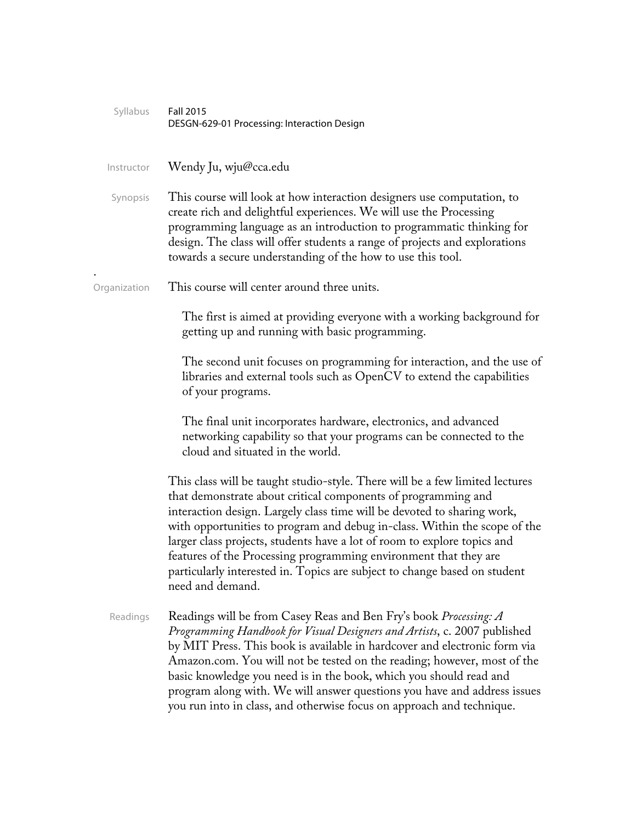| Syllabus     | Fall 2015<br>DESGN-629-01 Processing: Interaction Design                                                                                                                                                                                                                                                                                                                                                                                                                                                                                               |  |
|--------------|--------------------------------------------------------------------------------------------------------------------------------------------------------------------------------------------------------------------------------------------------------------------------------------------------------------------------------------------------------------------------------------------------------------------------------------------------------------------------------------------------------------------------------------------------------|--|
| Instructor   | Wendy Ju, wju@cca.edu                                                                                                                                                                                                                                                                                                                                                                                                                                                                                                                                  |  |
| Synopsis     | This course will look at how interaction designers use computation, to<br>create rich and delightful experiences. We will use the Processing<br>programming language as an introduction to programmatic thinking for<br>design. The class will offer students a range of projects and explorations<br>towards a secure understanding of the how to use this tool.                                                                                                                                                                                      |  |
| Organization | This course will center around three units.                                                                                                                                                                                                                                                                                                                                                                                                                                                                                                            |  |
|              | The first is aimed at providing everyone with a working background for<br>getting up and running with basic programming.                                                                                                                                                                                                                                                                                                                                                                                                                               |  |
|              | The second unit focuses on programming for interaction, and the use of<br>libraries and external tools such as OpenCV to extend the capabilities<br>of your programs.                                                                                                                                                                                                                                                                                                                                                                                  |  |
|              | The final unit incorporates hardware, electronics, and advanced<br>networking capability so that your programs can be connected to the<br>cloud and situated in the world.                                                                                                                                                                                                                                                                                                                                                                             |  |
|              | This class will be taught studio-style. There will be a few limited lectures<br>that demonstrate about critical components of programming and<br>interaction design. Largely class time will be devoted to sharing work,<br>with opportunities to program and debug in-class. Within the scope of the<br>larger class projects, students have a lot of room to explore topics and<br>features of the Processing programming environment that they are<br>particularly interested in. Topics are subject to change based on student<br>need and demand. |  |
| Readings     | Readings will be from Casey Reas and Ben Fry's book Processing: A<br>Programming Handbook for Visual Designers and Artists, c. 2007 published<br>by MIT Press. This book is available in hardcover and electronic form via<br>Amazon.com. You will not be tested on the reading; however, most of the<br>basic knowledge you need is in the book, which you should read and<br>program along with. We will answer questions you have and address issues<br>you run into in class, and otherwise focus on approach and technique.                       |  |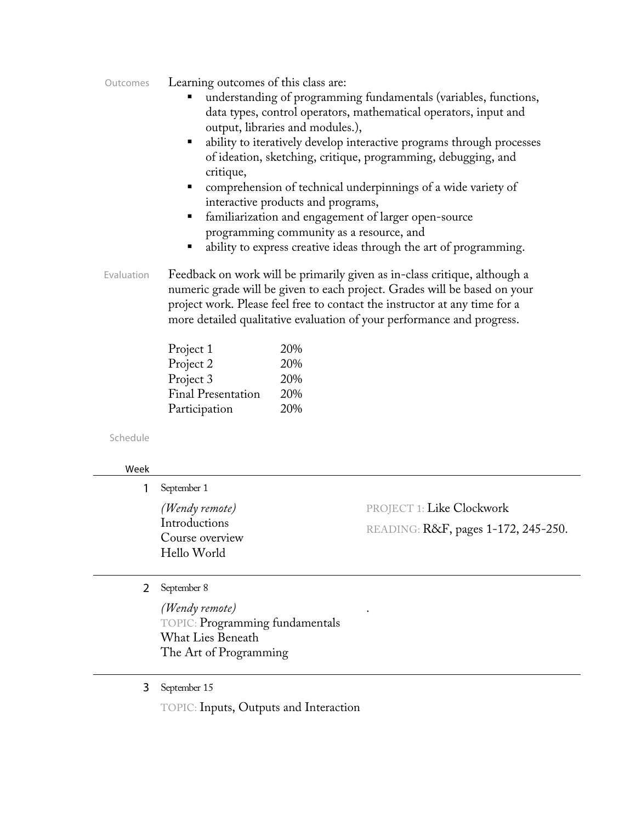| Learning outcomes of this class are: |
|--------------------------------------|
|                                      |

- ! understanding of programming fundamentals (variables, functions, data types, control operators, mathematical operators, input and output, libraries and modules.),
- ability to iteratively develop interactive programs through processes of ideation, sketching, critique, programming, debugging, and critique,
- ! comprehension of technical underpinnings of a wide variety of interactive products and programs,
- familiarization and engagement of larger open-source programming community as a resource, and
- ability to express creative ideas through the art of programming.
- Evaluation Feedback on work will be primarily given as in-class critique, although a numeric grade will be given to each project. Grades will be based on your project work. Please feel free to contact the instructor at any time for a more detailed qualitative evaluation of your performance and progress.

| Project 1                 | 20% |
|---------------------------|-----|
| Project 2                 | 20% |
| Project 3                 | 20% |
| <b>Final Presentation</b> | 20% |
| Participation             | 20% |

Schedule

## Week

|  | September 1                                                                                      |                                                                         |  |
|--|--------------------------------------------------------------------------------------------------|-------------------------------------------------------------------------|--|
|  | (Wendy remote)<br>Introductions<br>Course overview<br>Hello World                                | <b>PROJECT 1: Like Clockwork</b><br>READING: R&F, pages 1-172, 245-250. |  |
|  | September 8                                                                                      |                                                                         |  |
|  | (Wendy remote)<br>TOPIC: Programming fundamentals<br>What Lies Beneath<br>The Art of Programming |                                                                         |  |

## 3 September 15

TOPIC: Inputs, Outputs and Interaction